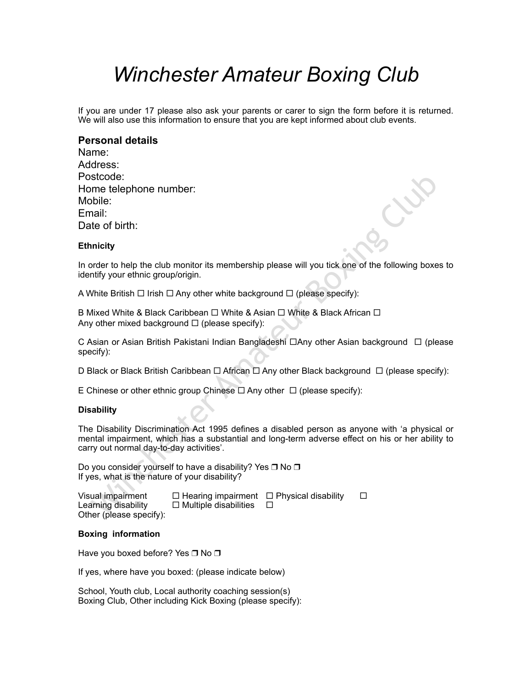# *Winchester Amateur Boxing Club*

If you are under 17 please also ask your parents or carer to sign the form before it is returned. We will also use this information to ensure that you are kept informed about club events.

# **Personal details**

| Name:                  |
|------------------------|
| Address:               |
| Postcode:              |
| Home telephone number: |
| Mobile:                |
| Email:                 |
| Date of birth:         |

# **Ethnicity**

In order to help the club monitor its membership please will you tick one of the following boxes to identify your ethnic group/origin.

A White British  $\Box$  Irish  $\Box$  Any other white background  $\Box$  (please specify):

B Mixed White & Black Caribbean  $\Box$  White & Asian  $\Box$  White & Black African  $\Box$ Any other mixed background  $\Box$  (please specify):

C Asian or Asian British Pakistani Indian Bangladeshi □Any other Asian background □ (please specify):

D Black or Black British Caribbean  $\Box$  African  $\Box$  Any other Black background  $\Box$  (please specify):

E Chinese or other ethnic group Chinese  $\Box$  Any other  $\Box$  (please specify):

## **Disability**

stcode:<br>
met eleephone number:<br>
mail:<br>
te of birth:<br>
inleity<br>
inleity<br>
inleity<br>
white British  $\Box$  Irish  $\Box$  Amy other white background  $\Box$  (please specify):<br>
White British Club institute of the following boxe<br>
white & The Disability Discrimination Act 1995 defines a disabled person as anyone with 'a physical or mental impairment, which has a substantial and long-term adverse effect on his or her ability to carry out normal day-to-day activities'.

Do you consider yourself to have a disability? Yes □ No □ If yes, what is the nature of your disability?

| Visual impairment       | $\Box$ Hearing impairment $\Box$ Physical disability |  |
|-------------------------|------------------------------------------------------|--|
| Learning disability     | $\Box$ Multiple disabilities                         |  |
| Other (please specify): |                                                      |  |

#### **Boxing information**

Have you boxed before? Yes □ No □

If yes, where have you boxed: (please indicate below)

School, Youth club, Local authority coaching session(s) Boxing Club, Other including Kick Boxing (please specify):